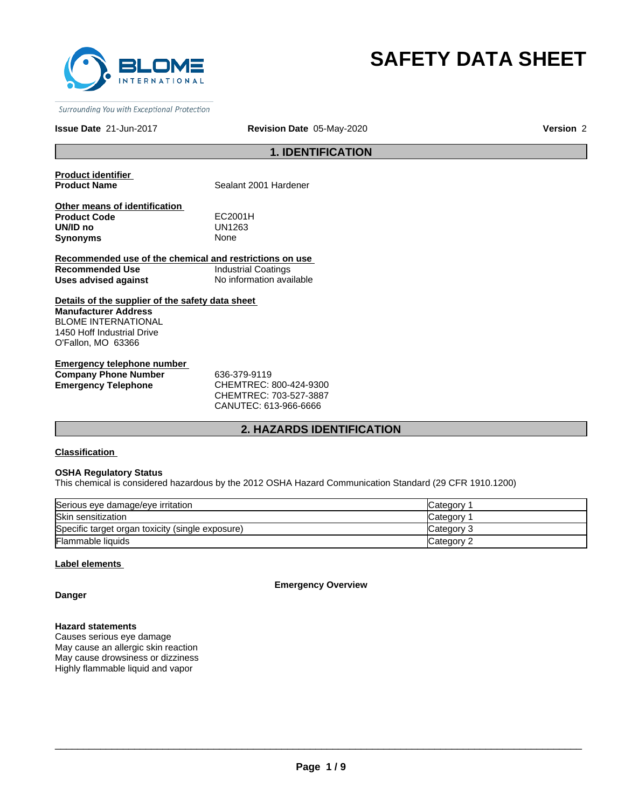

# **SAFETY DATA SHEET**

Surrounding You with Exceptional Protection

**Issue Date** 21-Jun-2017

**Revision Date** 05-May-2020 **Version** 2

# **1. IDENTIFICATION**

**Product identifier** 

**Sealant 2001 Hardener** 

**Other means of identification Product Code** EC2001H<br> **UN/ID no** UN1263 **Synonyms** 

UN1263<br>None

**Recommended use of the chemical and restrictions on use Recommended Use Industrial Coatings**<br> **Uses advised against Internation** No information available **Uses advised against** 

**Details of the supplier of the safety data sheet Manufacturer Address** BLOME INTERNATIONAL 1450 Hoff Industrial Drive O'Fallon, MO 63366

**Emergency telephone number Company Phone Number** 636-379-9119 **Emergency Telephone** CHEMTREC: 800-424-9300

CHEMTREC: 703-527-3887 CANUTEC: 613-966-6666

### **2. HAZARDS IDENTIFICATION**

#### **Classification**

#### **OSHA Regulatory Status**

This chemical is considered hazardous by the 2012 OSHA Hazard Communication Standard (29 CFR 1910.1200)

| Serious eye damage/eye irritation                | Category   |
|--------------------------------------------------|------------|
| Skin sensitization                               | Category   |
| Specific target organ toxicity (single exposure) | Category 3 |
| <b>Flammable liquids</b>                         | Category 2 |

#### **Label elements**

**Emergency Overview**

**Danger**

#### **Hazard statements**

Causes serious eye damage May cause an allergic skin reaction May cause drowsiness or dizziness Highly flammable liquid and vapor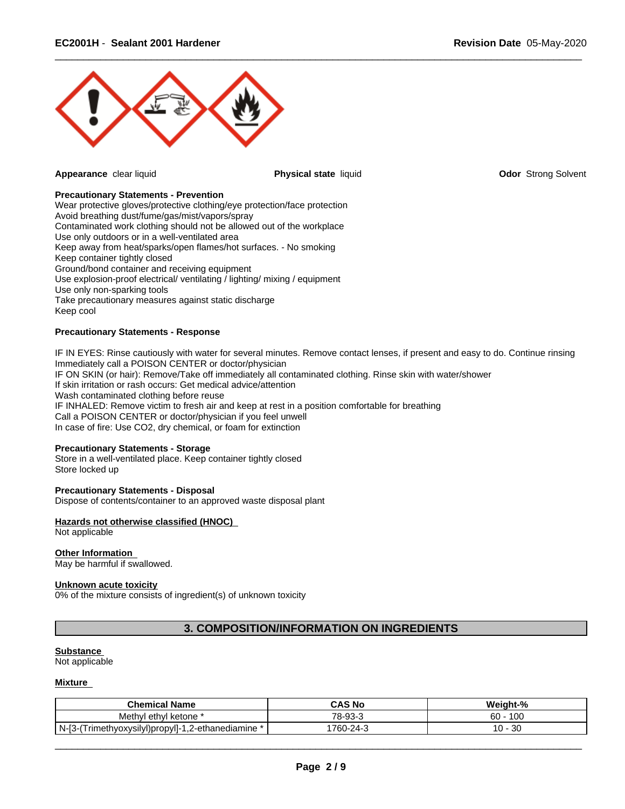

**Appearance** clear liquid **Physical state** liquid **Odor** Strong Solvent

 $\overline{\phantom{a}}$  ,  $\overline{\phantom{a}}$  ,  $\overline{\phantom{a}}$  ,  $\overline{\phantom{a}}$  ,  $\overline{\phantom{a}}$  ,  $\overline{\phantom{a}}$  ,  $\overline{\phantom{a}}$  ,  $\overline{\phantom{a}}$  ,  $\overline{\phantom{a}}$  ,  $\overline{\phantom{a}}$  ,  $\overline{\phantom{a}}$  ,  $\overline{\phantom{a}}$  ,  $\overline{\phantom{a}}$  ,  $\overline{\phantom{a}}$  ,  $\overline{\phantom{a}}$  ,  $\overline{\phantom{a}}$ 

#### **Precautionary Statements - Prevention**

Wear protective gloves/protective clothing/eye protection/face protection Avoid breathing dust/fume/gas/mist/vapors/spray Contaminated work clothing should not be allowed out of the workplace Use only outdoors or in a well-ventilated area Keep away from heat/sparks/open flames/hot surfaces. - No smoking Keep container tightly closed Ground/bond container and receiving equipment Use explosion-proof electrical/ ventilating / lighting/ mixing / equipment Use only non-sparking tools Take precautionary measures against static discharge Keep cool

### **Precautionary Statements - Response**

IF IN EYES: Rinse cautiously with water for several minutes. Remove contact lenses, if present and easy to do. Continue rinsing Immediately call a POISON CENTER or doctor/physician IF ON SKIN (or hair): Remove/Take off immediately all contaminated clothing. Rinse skin with water/shower If skin irritation or rash occurs: Get medical advice/attention Wash contaminated clothing before reuse IF INHALED: Remove victim to fresh air and keep at rest in a position comfortable for breathing Call a POISON CENTER or doctor/physician if you feel unwell In case of fire: Use CO2, dry chemical, or foam for extinction

#### **Precautionary Statements - Storage**

Store in a well-ventilated place. Keep container tightly closed Store locked up

#### **Precautionary Statements - Disposal**

Dispose of contents/container to an approved waste disposal plant

### **Hazards not otherwise classified (HNOC)**

Not applicable

## **Other Information**

May be harmful if swallowed.

#### **Unknown acute toxicity**

0% of the mixture consists of ingredient(s) of unknown toxicity

# **3. COMPOSITION/INFORMATION ON INGREDIENTS**

#### **Substance**

Not applicable

#### **Mixture**

| <b>Chemical Name</b>                                              | CAS No           | Weiaht-%               |
|-------------------------------------------------------------------|------------------|------------------------|
| Methyl<br>ethvl<br>. ketone                                       | 70<br>∡-9?⊹<br>ື | 60<br>$\sqrt{2}$<br>טע |
| $N-I3$<br>. 2-ethanediamine.<br>Trimethyoxysilyl)propyl]-<br>-3-1 | 1760-24-3        | 30<br>-<br>ັບ          |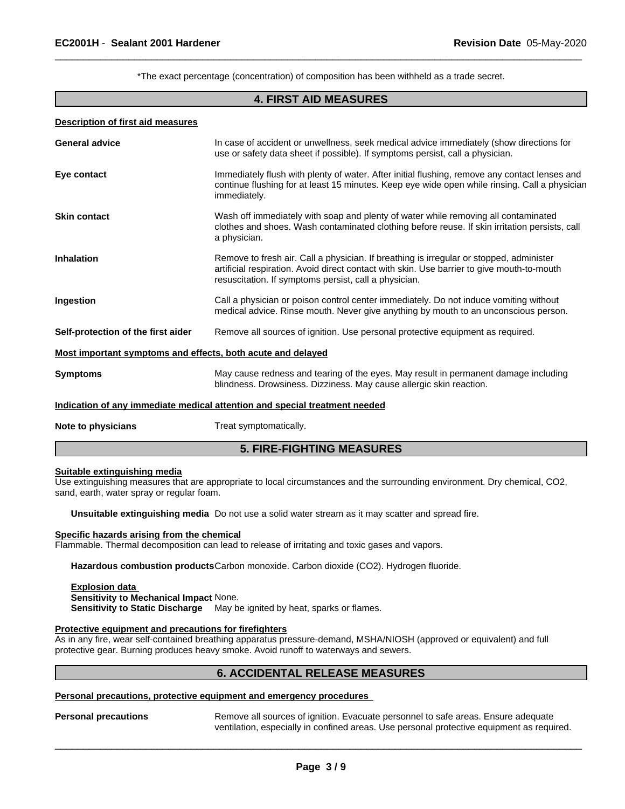\*The exact percentage (concentration) of composition has been withheld as a trade secret.

 $\overline{\phantom{a}}$  ,  $\overline{\phantom{a}}$  ,  $\overline{\phantom{a}}$  ,  $\overline{\phantom{a}}$  ,  $\overline{\phantom{a}}$  ,  $\overline{\phantom{a}}$  ,  $\overline{\phantom{a}}$  ,  $\overline{\phantom{a}}$  ,  $\overline{\phantom{a}}$  ,  $\overline{\phantom{a}}$  ,  $\overline{\phantom{a}}$  ,  $\overline{\phantom{a}}$  ,  $\overline{\phantom{a}}$  ,  $\overline{\phantom{a}}$  ,  $\overline{\phantom{a}}$  ,  $\overline{\phantom{a}}$ 

#### **4. FIRST AID MEASURES**

#### **Description of first aid measures**

| <b>General advice</b>                                       | In case of accident or unwellness, seek medical advice immediately (show directions for<br>use or safety data sheet if possible). If symptoms persist, call a physician.                                                                       |
|-------------------------------------------------------------|------------------------------------------------------------------------------------------------------------------------------------------------------------------------------------------------------------------------------------------------|
| Eye contact                                                 | Immediately flush with plenty of water. After initial flushing, remove any contact lenses and<br>continue flushing for at least 15 minutes. Keep eye wide open while rinsing. Call a physician<br>immediately.                                 |
| <b>Skin contact</b>                                         | Wash off immediately with soap and plenty of water while removing all contaminated<br>clothes and shoes. Wash contaminated clothing before reuse. If skin irritation persists, call<br>a physician.                                            |
| <b>Inhalation</b>                                           | Remove to fresh air. Call a physician. If breathing is irregular or stopped, administer<br>artificial respiration. Avoid direct contact with skin. Use barrier to give mouth-to-mouth<br>resuscitation. If symptoms persist, call a physician. |
| Ingestion                                                   | Call a physician or poison control center immediately. Do not induce vomiting without<br>medical advice. Rinse mouth. Never give anything by mouth to an unconscious person.                                                                   |
| Self-protection of the first aider                          | Remove all sources of ignition. Use personal protective equipment as required.                                                                                                                                                                 |
| Most important symptoms and effects, both acute and delayed |                                                                                                                                                                                                                                                |
| <b>Symptoms</b>                                             | May cause redness and tearing of the eyes. May result in permanent damage including<br>blindness. Drowsiness. Dizziness. May cause allergic skin reaction.                                                                                     |
|                                                             | Indication of any immediate medical attention and special treatment needed                                                                                                                                                                     |
| Note to physicians                                          | Treat symptomatically.                                                                                                                                                                                                                         |
|                                                             |                                                                                                                                                                                                                                                |

# **5. FIRE-FIGHTING MEASURES**

#### **Suitable extinguishing media**

Use extinguishing measures that are appropriate to local circumstances and the surrounding environment. Dry chemical, CO2, sand, earth, water spray or regular foam.

**Unsuitable extinguishing media** Do not use a solid water stream as it may scatter and spread fire.

#### **Specific hazards arising from the chemical**

Flammable. Thermal decomposition can lead to release of irritating and toxic gases and vapors.

**Hazardous combustion products**Carbon monoxide. Carbon dioxide (CO2). Hydrogen fluoride.

#### **Explosion data Sensitivity to Mechanical Impact** None. **Sensitivity to Static Discharge** May be ignited by heat, sparks or flames.

#### **Protective equipment and precautions for firefighters**

As in any fire, wear self-contained breathing apparatus pressure-demand, MSHA/NIOSH (approved or equivalent) and full protective gear. Burning produces heavy smoke. Avoid runoff to waterways and sewers.

### **6. ACCIDENTAL RELEASE MEASURES**

#### **Personal precautions, protective equipment and emergency procedures**

Personal precautions **Remove all sources of ignition.** Evacuate personnel to safe areas. Ensure adequate ventilation, especially in confined areas. Use personal protective equipment as required.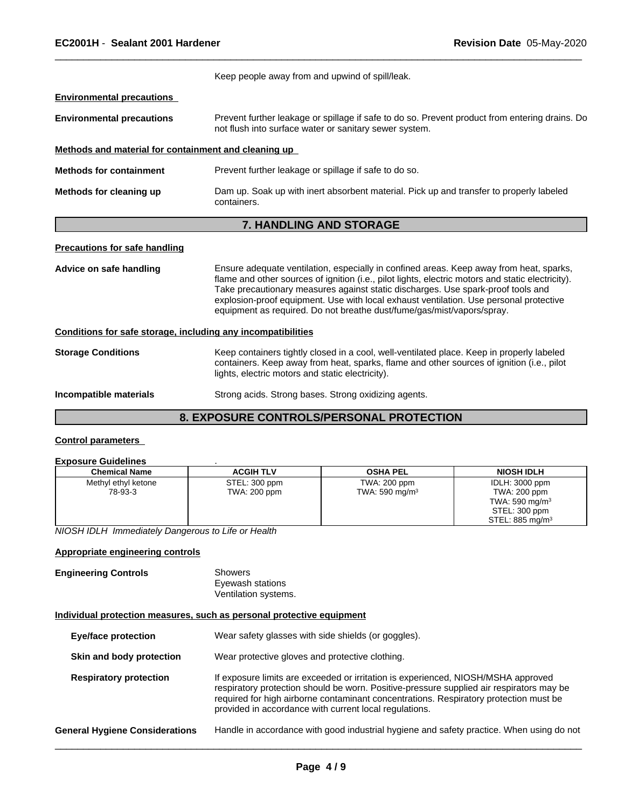|                                                              | Keep people away from and upwind of spill/leak.                                                                                                                                                                                                                                                                                                                                                                                                      |
|--------------------------------------------------------------|------------------------------------------------------------------------------------------------------------------------------------------------------------------------------------------------------------------------------------------------------------------------------------------------------------------------------------------------------------------------------------------------------------------------------------------------------|
| <b>Environmental precautions</b>                             |                                                                                                                                                                                                                                                                                                                                                                                                                                                      |
| <b>Environmental precautions</b>                             | Prevent further leakage or spillage if safe to do so. Prevent product from entering drains. Do<br>not flush into surface water or sanitary sewer system.                                                                                                                                                                                                                                                                                             |
| Methods and material for containment and cleaning up         |                                                                                                                                                                                                                                                                                                                                                                                                                                                      |
| <b>Methods for containment</b>                               | Prevent further leakage or spillage if safe to do so.                                                                                                                                                                                                                                                                                                                                                                                                |
| Methods for cleaning up                                      | Dam up. Soak up with inert absorbent material. Pick up and transfer to properly labeled<br>containers.                                                                                                                                                                                                                                                                                                                                               |
|                                                              | <b>7. HANDLING AND STORAGE</b>                                                                                                                                                                                                                                                                                                                                                                                                                       |
| <b>Precautions for safe handling</b>                         |                                                                                                                                                                                                                                                                                                                                                                                                                                                      |
| Advice on safe handling                                      | Ensure adequate ventilation, especially in confined areas. Keep away from heat, sparks,<br>flame and other sources of ignition (i.e., pilot lights, electric motors and static electricity).<br>Take precautionary measures against static discharges. Use spark-proof tools and<br>explosion-proof equipment. Use with local exhaust ventilation. Use personal protective<br>equipment as required. Do not breathe dust/fume/gas/mist/vapors/spray. |
| Conditions for safe storage, including any incompatibilities |                                                                                                                                                                                                                                                                                                                                                                                                                                                      |
| <b>Storage Conditions</b>                                    | Keep containers tightly closed in a cool, well-ventilated place. Keep in properly labeled<br>containers. Keep away from heat, sparks, flame and other sources of ignition (i.e., pilot<br>lights, electric motors and static electricity).                                                                                                                                                                                                           |
| Incompatible materials                                       | Strong acids. Strong bases. Strong oxidizing agents.                                                                                                                                                                                                                                                                                                                                                                                                 |
|                                                              | <b>8. EXPOSURE CONTROLS/PERSONAL PROTECTION</b>                                                                                                                                                                                                                                                                                                                                                                                                      |

 $\overline{\phantom{a}}$  ,  $\overline{\phantom{a}}$  ,  $\overline{\phantom{a}}$  ,  $\overline{\phantom{a}}$  ,  $\overline{\phantom{a}}$  ,  $\overline{\phantom{a}}$  ,  $\overline{\phantom{a}}$  ,  $\overline{\phantom{a}}$  ,  $\overline{\phantom{a}}$  ,  $\overline{\phantom{a}}$  ,  $\overline{\phantom{a}}$  ,  $\overline{\phantom{a}}$  ,  $\overline{\phantom{a}}$  ,  $\overline{\phantom{a}}$  ,  $\overline{\phantom{a}}$  ,  $\overline{\phantom{a}}$ 

#### **Control parameters**

# **Exposure Guidelines** .

| EADOUTT SUIGUITTUS   |                  |                            |                             |
|----------------------|------------------|----------------------------|-----------------------------|
| <b>Chemical Name</b> | <b>ACGIH TLV</b> | <b>OSHA PEL</b>            | <b>NIOSH IDLH</b>           |
| Methyl ethyl ketone  | STEL: 300 ppm    | TWA: 200 ppm               | IDLH: 3000 ppm              |
| 78-93-3              | TWA: 200 ppm     | TWA: 590 mg/m <sup>3</sup> | TWA: 200 ppm                |
|                      |                  |                            | TWA: 590 mg/m $3$           |
|                      |                  |                            | STEL: 300 ppm               |
|                      |                  |                            | STEL: 885 mg/m <sup>3</sup> |

*NIOSH IDLH Immediately Dangerous to Life or Health*

#### **Appropriate engineering controls**

#### **Engineering Controls** Showers Eyewash stations Ventilation systems.

#### **Individual protection measures, such as personal protective equipment**

| <b>Eye/face protection</b>            | Wear safety glasses with side shields (or goggles).                                                                                                                                                                                                                                                                              |
|---------------------------------------|----------------------------------------------------------------------------------------------------------------------------------------------------------------------------------------------------------------------------------------------------------------------------------------------------------------------------------|
| Skin and body protection              | Wear protective gloves and protective clothing.                                                                                                                                                                                                                                                                                  |
| <b>Respiratory protection</b>         | If exposure limits are exceeded or irritation is experienced, NIOSH/MSHA approved<br>respiratory protection should be worn. Positive-pressure supplied air respirators may be<br>required for high airborne contaminant concentrations. Respiratory protection must be<br>provided in accordance with current local regulations. |
| <b>General Hygiene Considerations</b> | Handle in accordance with good industrial hygiene and safety practice. When using do not                                                                                                                                                                                                                                         |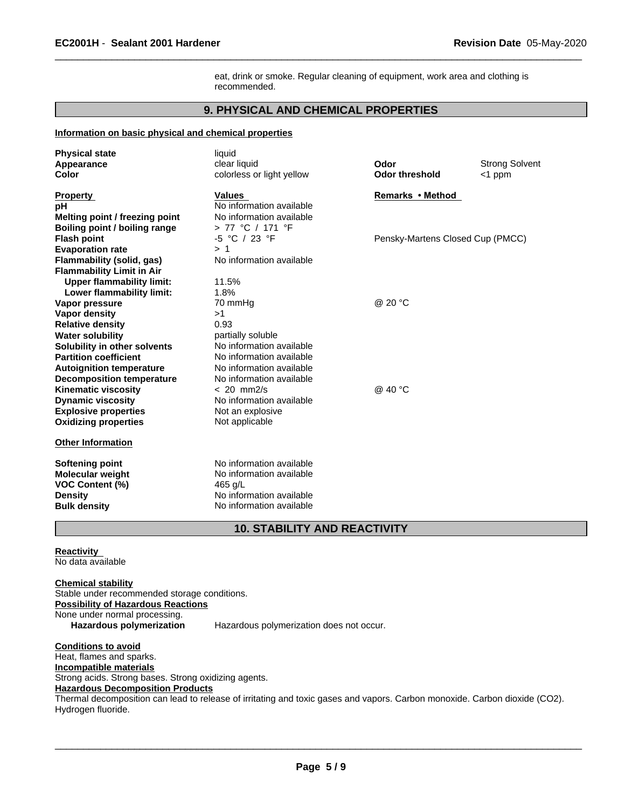eat, drink or smoke. Regular cleaning of equipment, work area and clothing is recommended.

 $\overline{\phantom{a}}$  ,  $\overline{\phantom{a}}$  ,  $\overline{\phantom{a}}$  ,  $\overline{\phantom{a}}$  ,  $\overline{\phantom{a}}$  ,  $\overline{\phantom{a}}$  ,  $\overline{\phantom{a}}$  ,  $\overline{\phantom{a}}$  ,  $\overline{\phantom{a}}$  ,  $\overline{\phantom{a}}$  ,  $\overline{\phantom{a}}$  ,  $\overline{\phantom{a}}$  ,  $\overline{\phantom{a}}$  ,  $\overline{\phantom{a}}$  ,  $\overline{\phantom{a}}$  ,  $\overline{\phantom{a}}$ 

# **9. PHYSICAL AND CHEMICAL PROPERTIES**

#### **Information on basic physical and chemical properties**

| <b>Physical state</b><br>Appearance<br>Color                                                                                                             | liquid<br>clear liquid<br>colorless or light yellow                                                                     | Odor<br><b>Odor threshold</b>    | <b>Strong Solvent</b><br>$<$ 1 ppm |
|----------------------------------------------------------------------------------------------------------------------------------------------------------|-------------------------------------------------------------------------------------------------------------------------|----------------------------------|------------------------------------|
| <b>Property</b><br>рH<br>Melting point / freezing point<br>Boiling point / boiling range                                                                 | <b>Values</b><br>No information available<br>No information available<br>> 77 °C / 171 °F                               | Remarks • Method                 |                                    |
| <b>Flash point</b><br><b>Evaporation rate</b><br><b>Flammability (solid, gas)</b><br><b>Flammability Limit in Air</b>                                    | -5 °C / 23 °F<br>> 1<br>No information available                                                                        | Pensky-Martens Closed Cup (PMCC) |                                    |
| <b>Upper flammability limit:</b><br>Lower flammability limit:<br>Vapor pressure<br>Vapor density                                                         | 11.5%<br>1.8%<br>70 mmHg<br>>1                                                                                          | @ 20 °C                          |                                    |
| <b>Relative density</b><br><b>Water solubility</b><br>Solubility in other solvents<br><b>Partition coefficient</b><br><b>Autoignition temperature</b>    | 0.93<br>partially soluble<br>No information available<br>No information available<br>No information available           |                                  |                                    |
| <b>Decomposition temperature</b><br><b>Kinematic viscosity</b><br><b>Dynamic viscosity</b><br><b>Explosive properties</b><br><b>Oxidizing properties</b> | No information available<br>$< 20$ mm $2/s$<br>No information available<br>Not an explosive<br>Not applicable           | @ 40 °C                          |                                    |
| <b>Other Information</b>                                                                                                                                 |                                                                                                                         |                                  |                                    |
| <b>Softening point</b><br><b>Molecular weight</b><br><b>VOC Content (%)</b><br><b>Density</b><br><b>Bulk density</b>                                     | No information available<br>No information available<br>465 g/L<br>No information available<br>No information available |                                  |                                    |

# **10. STABILITY AND REACTIVITY**

#### **Reactivity**

No data available

**Chemical stability** Stable under recommended storage conditions. **Possibility of Hazardous Reactions** None under normal processing. Hazardous polymerization Hazardous polymerization does not occur.

**Conditions to avoid** Heat, flames and sparks. **Incompatible materials** Strong acids. Strong bases. Strong oxidizing agents. **Hazardous Decomposition Products** Thermal decomposition can lead to release of irritating and toxic gases and vapors. Carbon monoxide. Carbon dioxide (CO2). Hydrogen fluoride.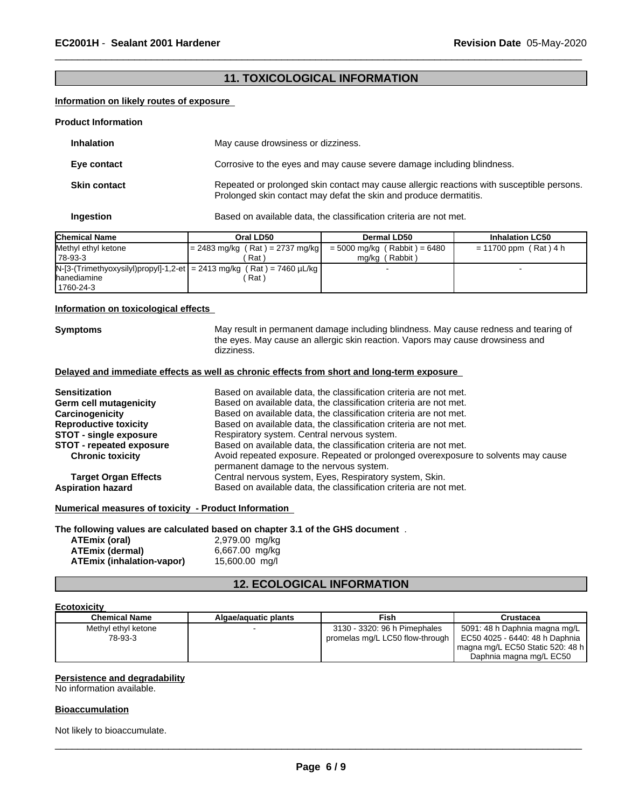# **11. TOXICOLOGICAL INFORMATION**

 $\overline{\phantom{a}}$  ,  $\overline{\phantom{a}}$  ,  $\overline{\phantom{a}}$  ,  $\overline{\phantom{a}}$  ,  $\overline{\phantom{a}}$  ,  $\overline{\phantom{a}}$  ,  $\overline{\phantom{a}}$  ,  $\overline{\phantom{a}}$  ,  $\overline{\phantom{a}}$  ,  $\overline{\phantom{a}}$  ,  $\overline{\phantom{a}}$  ,  $\overline{\phantom{a}}$  ,  $\overline{\phantom{a}}$  ,  $\overline{\phantom{a}}$  ,  $\overline{\phantom{a}}$  ,  $\overline{\phantom{a}}$ 

#### **Information on likely routes of exposure**

#### **Product Information**

| <b>Inhalation</b>   | May cause drowsiness or dizziness.                                                                                                                             |
|---------------------|----------------------------------------------------------------------------------------------------------------------------------------------------------------|
| Eye contact         | Corrosive to the eyes and may cause severe damage including blindness.                                                                                         |
| <b>Skin contact</b> | Repeated or prolonged skin contact may cause allergic reactions with susceptible persons.<br>Prolonged skin contact may defat the skin and produce dermatitis. |

**Ingestion** Based on available data, the classification criteria are not met.

| <b>Chemical Name</b> | Oral LD50                                                                | Dermal LD50                    | <b>Inhalation LC50</b>  |
|----------------------|--------------------------------------------------------------------------|--------------------------------|-------------------------|
| Methyl ethyl ketone  | $= 2483$ mg/kg (Rat) = 2737 mg/kg                                        | $= 5000$ mg/kg (Rabbit) = 6480 | $= 11700$ ppm (Rat) 4 h |
| 178-93-3             | Rat                                                                      | mg/kg (Rabbit)                 |                         |
|                      | $N-[3-(Trimethyloxysilyl)propyl]-1,2-et]=2413 mg/kg (Rat)=7460 \mu L/kg$ |                                |                         |
| <b>Ihanediamine</b>  | Rat i                                                                    |                                |                         |
| 1760-24-3            |                                                                          |                                |                         |

#### **Information on toxicological effects**

**Symptoms** May result in permanent damage including blindness. May cause redness and tearing of the eyes. May cause an allergic skin reaction. Vapors may cause drowsiness and dizziness.

#### **Delayed and immediate effects as well as chronic effects from short and long-term exposure**

| Based on available data, the classification criteria are not met.                 |
|-----------------------------------------------------------------------------------|
| Based on available data, the classification criteria are not met.                 |
| Based on available data, the classification criteria are not met.                 |
| Based on available data, the classification criteria are not met.                 |
| Respiratory system. Central nervous system.                                       |
| Based on available data, the classification criteria are not met.                 |
| Avoid repeated exposure. Repeated or prolonged overexposure to solvents may cause |
| permanent damage to the nervous system.                                           |
| Central nervous system, Eyes, Respiratory system, Skin.                           |
| Based on available data, the classification criteria are not met.                 |
|                                                                                   |

#### **Numerical measures of toxicity - Product Information**

**The following values are calculated based on chapter 3.1 of the GHS document** .

| ATEmix (oral)             | 2,979.00 mg/kg |  |
|---------------------------|----------------|--|
| ATEmix (dermal)           | 6,667.00 mg/kg |  |
| ATEmix (inhalation-vapor) | 15,600.00 mg/l |  |

# **12. ECOLOGICAL INFORMATION**

#### **Ecotoxicity**

| <b>Chemical Name</b> | Algae/aguatic plants | Fish                            | Crustacea                        |
|----------------------|----------------------|---------------------------------|----------------------------------|
| Methyl ethyl ketone  |                      | 3130 - 3320: 96 h Pimephales    | 5091: 48 h Daphnia magna mg/L    |
| 78-93-3              |                      | promelas mg/L LC50 flow-through | EC50 4025 - 6440: 48 h Daphnia   |
|                      |                      |                                 | magna mg/L EC50 Static 520: 48 h |
|                      |                      |                                 | Daphnia magna mg/L EC50          |

#### **Persistence and degradability**

No information available.

#### **Bioaccumulation**

Not likely to bioaccumulate.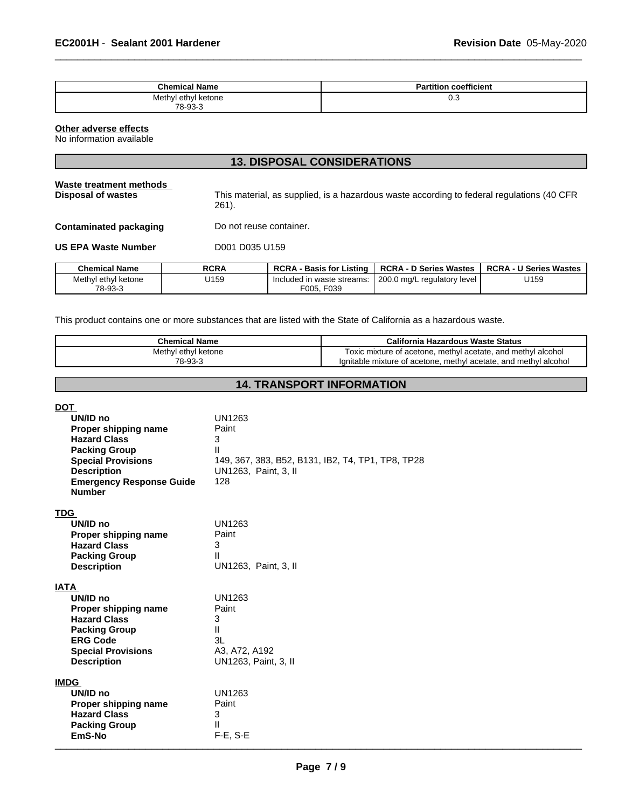| <b>Chemical Name</b> | <b>Partition coefficient</b><br>п. |
|----------------------|------------------------------------|
| Methyl ethyl ketone  | υ.υ                                |
| 78-93-3              |                                    |

**13. DISPOSAL CONSIDERATIONS**

 $\overline{\phantom{a}}$  ,  $\overline{\phantom{a}}$  ,  $\overline{\phantom{a}}$  ,  $\overline{\phantom{a}}$  ,  $\overline{\phantom{a}}$  ,  $\overline{\phantom{a}}$  ,  $\overline{\phantom{a}}$  ,  $\overline{\phantom{a}}$  ,  $\overline{\phantom{a}}$  ,  $\overline{\phantom{a}}$  ,  $\overline{\phantom{a}}$  ,  $\overline{\phantom{a}}$  ,  $\overline{\phantom{a}}$  ,  $\overline{\phantom{a}}$  ,  $\overline{\phantom{a}}$  ,  $\overline{\phantom{a}}$ 

#### **Other adverse effects**

No information available

|                                               | IVI PIUI VUAL VUIIVIPLIVAIIVIIV |                                                                                           |                               |                               |
|-----------------------------------------------|---------------------------------|-------------------------------------------------------------------------------------------|-------------------------------|-------------------------------|
| Waste treatment methods<br>Disposal of wastes | 261).                           | This material, as supplied, is a hazardous waste according to federal regulations (40 CFR |                               |                               |
| Contaminated packaging                        |                                 | Do not reuse container.                                                                   |                               |                               |
| US EPA Waste Number                           | D001 D035 U159                  |                                                                                           |                               |                               |
| <b>Chemical Name</b>                          | <b>RCRA</b>                     | <b>RCRA - Basis for Listing</b>                                                           | <b>RCRA - D Series Wastes</b> | <b>RCRA - U Series Wastes</b> |
| Methyl ethyl ketone<br>78-93-3                | U159                            | Included in waste streams:<br>F005, F039                                                  | 200.0 mg/L regulatory level   | U159                          |

This product contains one or more substances that are listed with the State of California as a hazardous waste.

| <b>Chemical Name</b><br>Methyl ethyl ketone<br>78-93-3                                                                                                                                               |                                                                                 | <b>California Hazardous Waste Status</b><br>Toxic mixture of acetone, methyl acetate, and methyl alcohol<br>Ignitable mixture of acetone, methyl acetate, and methyl alcohol |  |  |
|------------------------------------------------------------------------------------------------------------------------------------------------------------------------------------------------------|---------------------------------------------------------------------------------|------------------------------------------------------------------------------------------------------------------------------------------------------------------------------|--|--|
|                                                                                                                                                                                                      |                                                                                 |                                                                                                                                                                              |  |  |
| <b>DOT</b><br>UN/ID no<br>Proper shipping name<br><b>Hazard Class</b><br><b>Packing Group</b><br><b>Special Provisions</b><br><b>Description</b><br><b>Emergency Response Guide</b><br><b>Number</b> | <b>UN1263</b><br>Paint<br>3<br>Ш<br>UN1263, Paint, 3, II<br>128                 | 149, 367, 383, B52, B131, IB2, T4, TP1, TP8, TP28                                                                                                                            |  |  |
| <b>TDG</b><br>UN/ID no<br>Proper shipping name<br><b>Hazard Class</b><br><b>Packing Group</b><br><b>Description</b>                                                                                  | <b>UN1263</b><br>Paint<br>3<br>Ш<br>UN1263, Paint, 3, II                        |                                                                                                                                                                              |  |  |
| <b>IATA</b><br>UN/ID no<br>Proper shipping name<br><b>Hazard Class</b><br><b>Packing Group</b><br><b>ERG Code</b><br><b>Special Provisions</b><br><b>Description</b>                                 | <b>UN1263</b><br>Paint<br>3<br>Ш<br>3L<br>A3, A72, A192<br>UN1263, Paint, 3, II |                                                                                                                                                                              |  |  |
| <b>IMDG</b><br>UN/ID no<br>Proper shipping name<br><b>Hazard Class</b><br><b>Packing Group</b><br>EmS-No                                                                                             | <b>UN1263</b><br>Paint<br>3<br>Ш<br>$F-E$ , S-E                                 |                                                                                                                                                                              |  |  |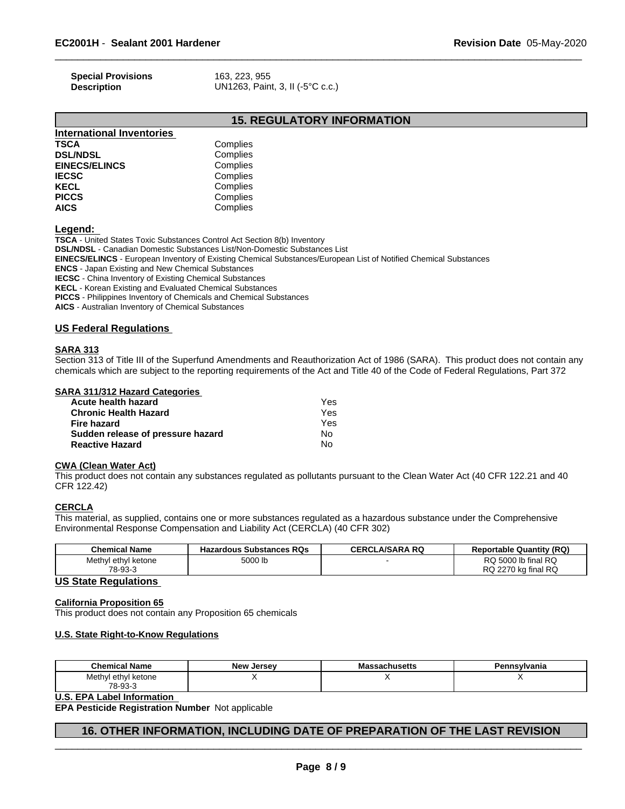| <b>Special Provisions</b> | 163. 223. 955                    |
|---------------------------|----------------------------------|
| <b>Description</b>        | UN1263, Paint, 3, II (-5°C c.c.) |

# **15. REGULATORY INFORMATION**

 $\overline{\phantom{a}}$  ,  $\overline{\phantom{a}}$  ,  $\overline{\phantom{a}}$  ,  $\overline{\phantom{a}}$  ,  $\overline{\phantom{a}}$  ,  $\overline{\phantom{a}}$  ,  $\overline{\phantom{a}}$  ,  $\overline{\phantom{a}}$  ,  $\overline{\phantom{a}}$  ,  $\overline{\phantom{a}}$  ,  $\overline{\phantom{a}}$  ,  $\overline{\phantom{a}}$  ,  $\overline{\phantom{a}}$  ,  $\overline{\phantom{a}}$  ,  $\overline{\phantom{a}}$  ,  $\overline{\phantom{a}}$ 

| <b>International Inventories</b> |          |
|----------------------------------|----------|
| <b>TSCA</b>                      | Complies |
| <b>DSL/NDSL</b>                  | Complies |
| <b>EINECS/ELINCS</b>             | Complies |
| <b>IECSC</b>                     | Complies |
| <b>KECL</b>                      | Complies |
| <b>PICCS</b>                     | Complies |
| <b>AICS</b>                      | Complies |
|                                  |          |

**Legend:** 

**TSCA** - United States Toxic Substances Control Act Section 8(b) Inventory **DSL/NDSL** - Canadian Domestic Substances List/Non-Domestic Substances List **EINECS/ELINCS** - European Inventory of Existing Chemical Substances/European List of Notified Chemical Substances **ENCS** - Japan Existing and New Chemical Substances **IECSC** - China Inventory of Existing Chemical Substances **KECL** - Korean Existing and Evaluated Chemical Substances **PICCS** - Philippines Inventory of Chemicals and Chemical Substances **AICS** - Australian Inventory of Chemical Substances

#### **US Federal Regulations**

#### **SARA 313**

Section 313 of Title III of the Superfund Amendments and Reauthorization Act of 1986 (SARA). This product does not contain any chemicals which are subject to the reporting requirements of the Act and Title 40 of the Code of Federal Regulations, Part 372

| <b>SARA 311/312 Hazard Categories</b> |
|---------------------------------------|
|---------------------------------------|

| Acute health hazard               | Yes |  |
|-----------------------------------|-----|--|
| Chronic Health Hazard             | Yes |  |
| Fire hazard                       | Yes |  |
| Sudden release of pressure hazard | No. |  |
| Reactive Hazard                   | Nο  |  |

#### **CWA (Clean Water Act)**

This product does not contain any substances regulated as pollutants pursuant to the Clean Water Act (40 CFR 122.21 and 40 CFR 122.42)

# **CERCLA**

This material, as supplied, contains one or more substances regulated as a hazardous substance under the Comprehensive Environmental Response Compensation and Liability Act (CERCLA) (40 CFR 302)

| <b>Chemical Name</b>     | <b>Hazardous Substances RQs</b> | <b>CERCLA/SARA RQ</b> | <b>Reportable Quantity (RQ)</b> |
|--------------------------|---------------------------------|-----------------------|---------------------------------|
| Methyl<br>l ethyl ketone | 5000 lb                         |                       | RQ 5000 lb final RQ             |
| 78-93-3                  |                                 |                       | RQ 2270 kg final RQ             |

#### **US State Regulations**

#### **California Proposition 65**

This product does not contain any Proposition 65 chemicals

#### **U.S. State Right-to-Know Regulations**

| <b>Chemical Name</b>                  | <b>New</b><br>Jersev | ssachusetts | Pennsylvania |
|---------------------------------------|----------------------|-------------|--------------|
| Methyl<br>ethvl<br>l ketone<br>$\sim$ |                      |             | . .          |
| 78-93-3                               |                      |             |              |

**U.S. EPA Label Information** 

**EPA Pesticide Registration Number** Not applicable

# **16. OTHER INFORMATION, INCLUDING DATE OF PREPARATION OF THE LAST REVISION**